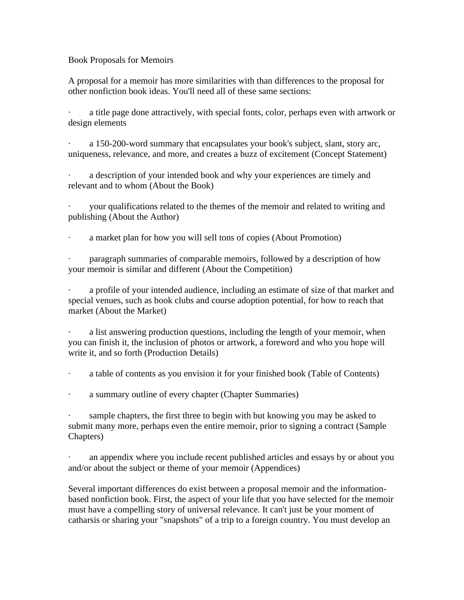Book Proposals for Memoirs

A proposal for a memoir has more similarities with than differences to the proposal for other nonfiction book ideas. You'll need all of these same sections:

a title page done attractively, with special fonts, color, perhaps even with artwork or design elements

· a 150-200-word summary that encapsulates your book's subject, slant, story arc, uniqueness, relevance, and more, and creates a buzz of excitement (Concept Statement)

a description of your intended book and why your experiences are timely and relevant and to whom (About the Book)

your qualifications related to the themes of the memoir and related to writing and publishing (About the Author)

a market plan for how you will sell tons of copies (About Promotion)

· paragraph summaries of comparable memoirs, followed by a description of how your memoir is similar and different (About the Competition)

a profile of your intended audience, including an estimate of size of that market and special venues, such as book clubs and course adoption potential, for how to reach that market (About the Market)

a list answering production questions, including the length of your memoir, when you can finish it, the inclusion of photos or artwork, a foreword and who you hope will write it, and so forth (Production Details)

· a table of contents as you envision it for your finished book (Table of Contents)

a summary outline of every chapter (Chapter Summaries)

sample chapters, the first three to begin with but knowing you may be asked to submit many more, perhaps even the entire memoir, prior to signing a contract (Sample Chapters)

· an appendix where you include recent published articles and essays by or about you and/or about the subject or theme of your memoir (Appendices)

Several important differences do exist between a proposal memoir and the informationbased nonfiction book. First, the aspect of your life that you have selected for the memoir must have a compelling story of universal relevance. It can't just be your moment of catharsis or sharing your "snapshots" of a trip to a foreign country. You must develop an